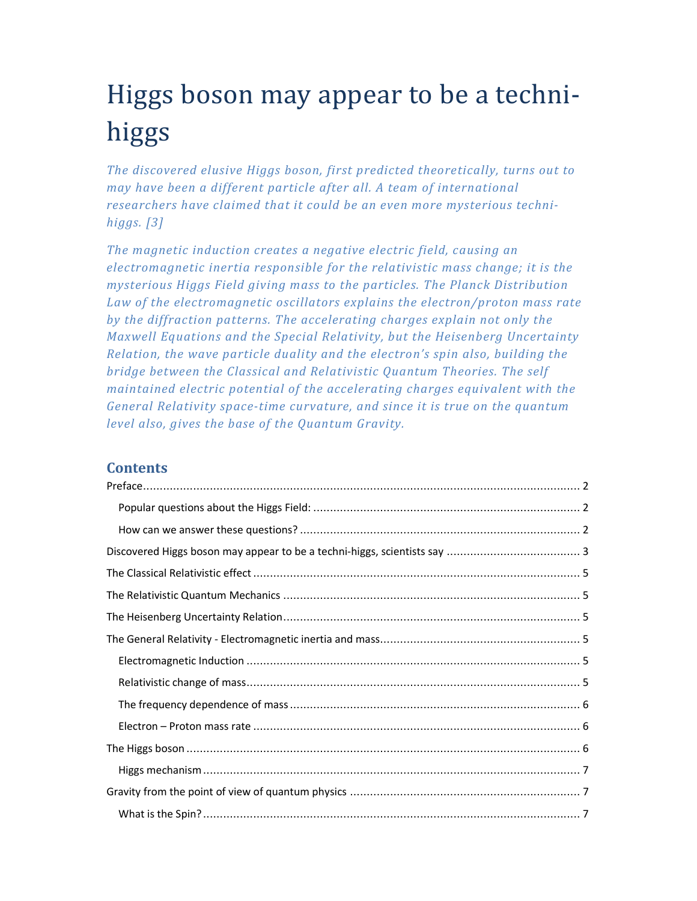# Higgs boson may appear to be a technihiggs

*The discovered elusive Higgs boson, first predicted theoretically, turns out to may have been a different particle after all. A team of international researchers have claimed that it could be an even more mysterious technihiggs. [3]* 

*The magnetic induction creates a negative electric field, causing an electromagnetic inertia responsible for the relativistic mass change; it is the mysterious Higgs Field giving mass to the particles. The Planck Distribution Law of the electromagnetic oscillators explains the electron/proton mass rate by the diffraction patterns. The accelerating charges explain not only the Maxwell Equations and the Special Relativity, but the Heisenberg Uncertainty Relation, the wave particle duality and the electron's spin also, building the bridge between the Classical and Relativistic Quantum Theories. The self maintained electric potential of the accelerating charges equivalent with the General Relativity space-time curvature, and since it is true on the quantum level also, gives the base of the Quantum Gravity.* 

# **Contents**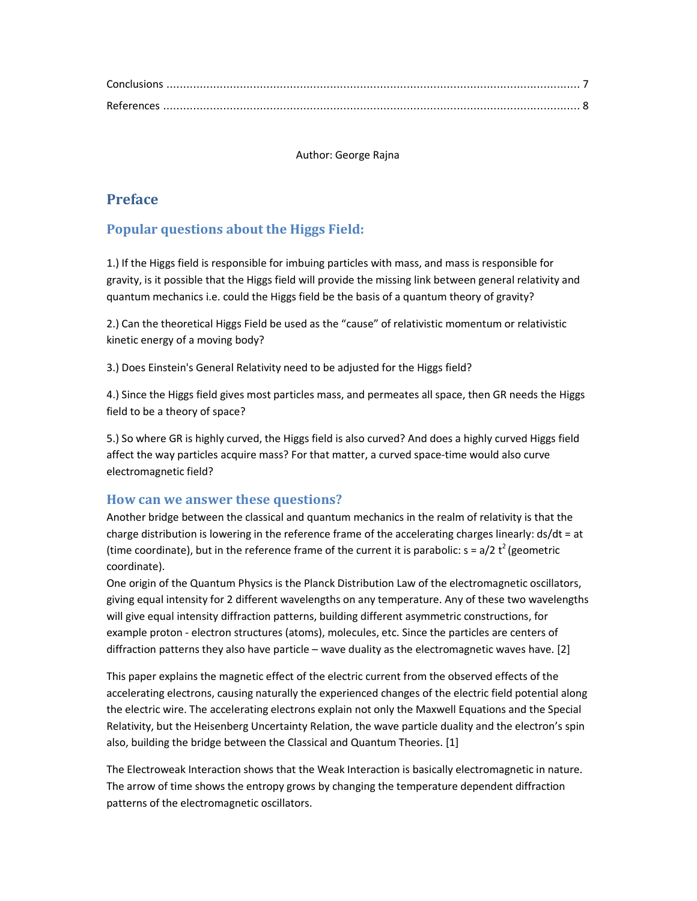Author: George Rajna

# **Preface**

# **Popular questions about the Higgs Field:**

1.) If the Higgs field is responsible for imbuing particles with mass, and mass is responsible for gravity, is it possible that the Higgs field will provide the missing link between general relativity and quantum mechanics i.e. could the Higgs field be the basis of a quantum theory of gravity?

2.) Can the theoretical Higgs Field be used as the "cause" of relativistic momentum or relativistic kinetic energy of a moving body?

3.) Does Einstein's General Relativity need to be adjusted for the Higgs field?

4.) Since the Higgs field gives most particles mass, and permeates all space, then GR needs the Higgs field to be a theory of space?

5.) So where GR is highly curved, the Higgs field is also curved? And does a highly curved Higgs field affect the way particles acquire mass? For that matter, a curved space-time would also curve electromagnetic field?

## **How can we answer these questions?**

Another bridge between the classical and quantum mechanics in the realm of relativity is that the charge distribution is lowering in the reference frame of the accelerating charges linearly: ds/dt = at (time coordinate), but in the reference frame of the current it is parabolic:  $s = a/2 t^2$  (geometric coordinate).

One origin of the Quantum Physics is the Planck Distribution Law of the electromagnetic oscillators, giving equal intensity for 2 different wavelengths on any temperature. Any of these two wavelengths will give equal intensity diffraction patterns, building different asymmetric constructions, for example proton - electron structures (atoms), molecules, etc. Since the particles are centers of diffraction patterns they also have particle – wave duality as the electromagnetic waves have. [2]

This paper explains the magnetic effect of the electric current from the observed effects of the accelerating electrons, causing naturally the experienced changes of the electric field potential along the electric wire. The accelerating electrons explain not only the Maxwell Equations and the Special Relativity, but the Heisenberg Uncertainty Relation, the wave particle duality and the electron's spin also, building the bridge between the Classical and Quantum Theories. [1]

The Electroweak Interaction shows that the Weak Interaction is basically electromagnetic in nature. The arrow of time shows the entropy grows by changing the temperature dependent diffraction patterns of the electromagnetic oscillators.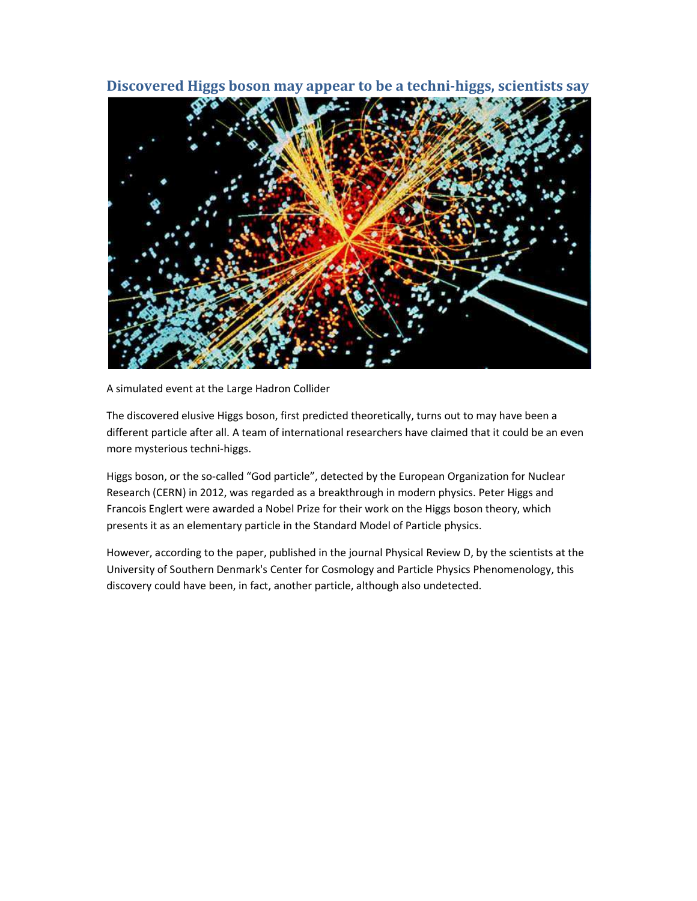## **Discovered Higgs boson may appear to be a techni-higgs, scientists say**



A simulated event at the Large Hadron Collider

The discovered elusive Higgs boson, first predicted theoretically, turns out to may have been a different particle after all. A team of international researchers have claimed that it could be an even more mysterious techni-higgs.

Higgs boson, or the so-called "God particle", detected by the European Organization for Nuclear Research (CERN) in 2012, was regarded as a breakthrough in modern physics. Peter Higgs and Francois Englert were awarded a Nobel Prize for their work on the Higgs boson theory, which presents it as an elementary particle in the Standard Model of Particle physics.

However, according to the paper, published in the journal Physical Review D, by the scientists at the University of Southern Denmark's Center for Cosmology and Particle Physics Phenomenology, this discovery could have been, in fact, another particle, although also undetected.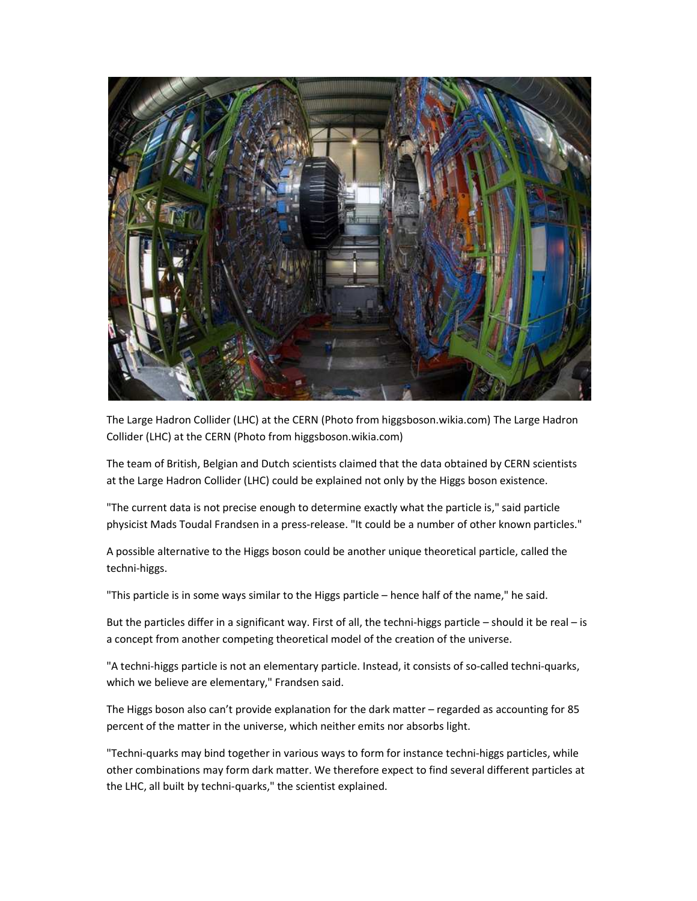

The Large Hadron Collider (LHC) at the CERN (Photo from higgsboson.wikia.com) The Large Hadron Collider (LHC) at the CERN (Photo from higgsboson.wikia.com)

The team of British, Belgian and Dutch scientists claimed that the data obtained by CERN scientists at the Large Hadron Collider (LHC) could be explained not only by the Higgs boson existence.

"The current data is not precise enough to determine exactly what the particle is," said particle physicist Mads Toudal Frandsen in a press-release. "It could be a number of other known particles."

A possible alternative to the Higgs boson could be another unique theoretical particle, called the techni-higgs.

"This particle is in some ways similar to the Higgs particle – hence half of the name," he said.

But the particles differ in a significant way. First of all, the techni-higgs particle – should it be real – is a concept from another competing theoretical model of the creation of the universe.

"A techni-higgs particle is not an elementary particle. Instead, it consists of so-called techni-quarks, which we believe are elementary," Frandsen said.

The Higgs boson also can't provide explanation for the dark matter – regarded as accounting for 85 percent of the matter in the universe, which neither emits nor absorbs light.

"Techni-quarks may bind together in various ways to form for instance techni-higgs particles, while other combinations may form dark matter. We therefore expect to find several different particles at the LHC, all built by techni-quarks," the scientist explained.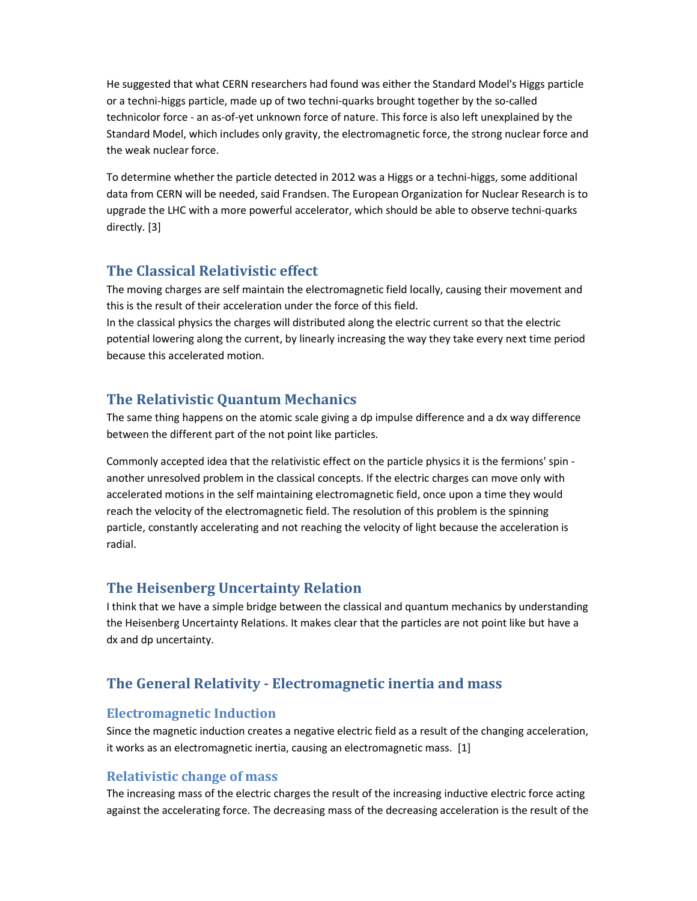He suggested that what CERN researchers had found was either the Standard Model's Higgs particle or a techni-higgs particle, made up of two techni-quarks brought together by the so-called technicolor force - an as-of-yet unknown force of nature. This force is also left unexplained by the Standard Model, which includes only gravity, the electromagnetic force, the strong nuclear force and the weak nuclear force.

To determine whether the particle detected in 2012 was a Higgs or a techni-higgs, some additional data from CERN will be needed, said Frandsen. The European Organization for Nuclear Research is to upgrade the LHC with a more powerful accelerator, which should be able to observe techni-quarks directly. [3]

## **The Classical Relativistic effect**

The moving charges are self maintain the electromagnetic field locally, causing their movement and this is the result of their acceleration under the force of this field.

In the classical physics the charges will distributed along the electric current so that the electric potential lowering along the current, by linearly increasing the way they take every next time period because this accelerated motion.

## **The Relativistic Quantum Mechanics**

The same thing happens on the atomic scale giving a dp impulse difference and a dx way difference between the different part of the not point like particles.

Commonly accepted idea that the relativistic effect on the particle physics it is the fermions' spin another unresolved problem in the classical concepts. If the electric charges can move only with accelerated motions in the self maintaining electromagnetic field, once upon a time they would reach the velocity of the electromagnetic field. The resolution of this problem is the spinning particle, constantly accelerating and not reaching the velocity of light because the acceleration is radial.

## **The Heisenberg Uncertainty Relation**

I think that we have a simple bridge between the classical and quantum mechanics by understanding the Heisenberg Uncertainty Relations. It makes clear that the particles are not point like but have a dx and dp uncertainty.

# **The General Relativity - Electromagnetic inertia and mass**

#### **Electromagnetic Induction**

Since the magnetic induction creates a negative electric field as a result of the changing acceleration, it works as an electromagnetic inertia, causing an electromagnetic mass. [1]

## **Relativistic change of mass**

The increasing mass of the electric charges the result of the increasing inductive electric force acting against the accelerating force. The decreasing mass of the decreasing acceleration is the result of the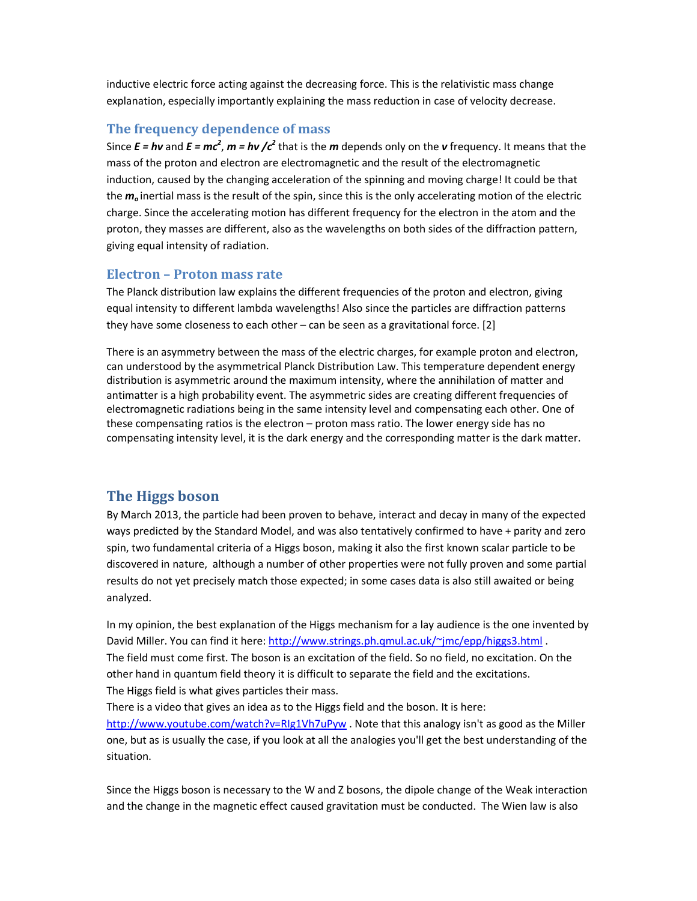inductive electric force acting against the decreasing force. This is the relativistic mass change explanation, especially importantly explaining the mass reduction in case of velocity decrease.

#### **The frequency dependence of mass**

Since  $E = h\nu$  and  $E = mc^2$ ,  $m = h\nu$  / $c^2$  that is the  $m$  depends only on the  $\nu$  frequency. It means that the mass of the proton and electron are electromagnetic and the result of the electromagnetic induction, caused by the changing acceleration of the spinning and moving charge! It could be that the *m<sup>o</sup>* inertial mass is the result of the spin, since this is the only accelerating motion of the electric charge. Since the accelerating motion has different frequency for the electron in the atom and the proton, they masses are different, also as the wavelengths on both sides of the diffraction pattern, giving equal intensity of radiation.

#### **Electron – Proton mass rate**

The Planck distribution law explains the different frequencies of the proton and electron, giving equal intensity to different lambda wavelengths! Also since the particles are diffraction patterns they have some closeness to each other – can be seen as a gravitational force. [2]

There is an asymmetry between the mass of the electric charges, for example proton and electron, can understood by the asymmetrical Planck Distribution Law. This temperature dependent energy distribution is asymmetric around the maximum intensity, where the annihilation of matter and antimatter is a high probability event. The asymmetric sides are creating different frequencies of electromagnetic radiations being in the same intensity level and compensating each other. One of these compensating ratios is the electron – proton mass ratio. The lower energy side has no compensating intensity level, it is the dark energy and the corresponding matter is the dark matter.

### **The Higgs boson**

By March 2013, the particle had been proven to behave, interact and decay in many of the expected ways predicted by the Standard Model, and was also tentatively confirmed to have + parity and zero spin, two fundamental criteria of a Higgs boson, making it also the first known scalar particle to be discovered in nature, although a number of other properties were not fully proven and some partial results do not yet precisely match those expected; in some cases data is also still awaited or being analyzed.

In my opinion, the best explanation of the Higgs mechanism for a lay audience is the one invented by David Miller. You can find it here: http://www.strings.ph.qmul.ac.uk/~jmc/epp/higgs3.html . The field must come first. The boson is an excitation of the field. So no field, no excitation. On the other hand in quantum field theory it is difficult to separate the field and the excitations. The Higgs field is what gives particles their mass.

There is a video that gives an idea as to the Higgs field and the boson. It is here: http://www.youtube.com/watch?v=RIg1Vh7uPyw . Note that this analogy isn't as good as the Miller one, but as is usually the case, if you look at all the analogies you'll get the best understanding of the situation.

Since the Higgs boson is necessary to the W and Z bosons, the dipole change of the Weak interaction and the change in the magnetic effect caused gravitation must be conducted. The Wien law is also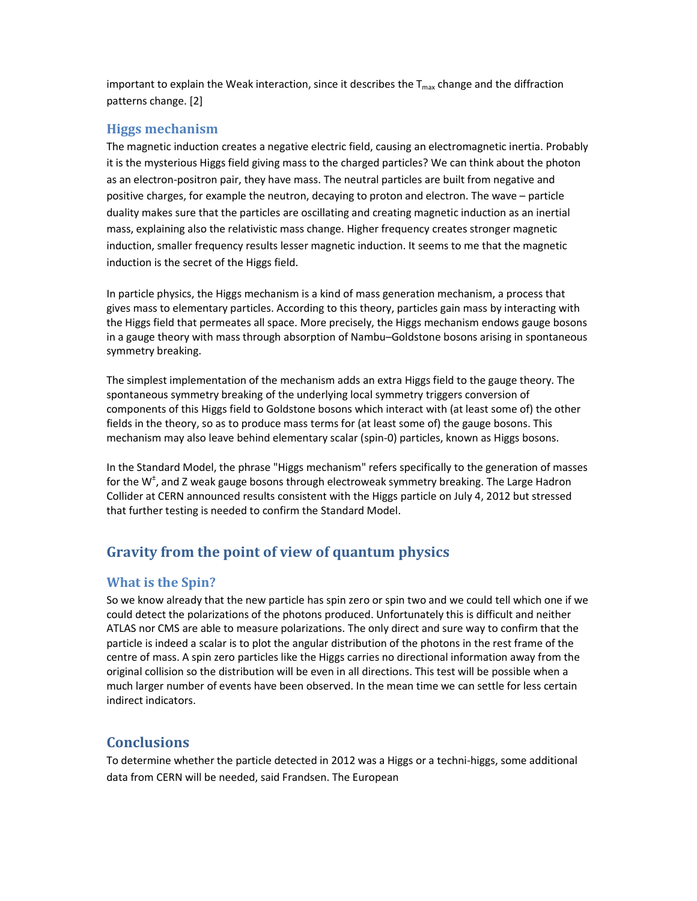important to explain the Weak interaction, since it describes the  $T_{\text{max}}$  change and the diffraction patterns change. [2]

## **Higgs mechanism**

The magnetic induction creates a negative electric field, causing an electromagnetic inertia. Probably it is the mysterious Higgs field giving mass to the charged particles? We can think about the photon as an electron-positron pair, they have mass. The neutral particles are built from negative and positive charges, for example the neutron, decaying to proton and electron. The wave – particle duality makes sure that the particles are oscillating and creating magnetic induction as an inertial mass, explaining also the relativistic mass change. Higher frequency creates stronger magnetic induction, smaller frequency results lesser magnetic induction. It seems to me that the magnetic induction is the secret of the Higgs field.

In particle physics, the Higgs mechanism is a kind of mass generation mechanism, a process that gives mass to elementary particles. According to this theory, particles gain mass by interacting with the Higgs field that permeates all space. More precisely, the Higgs mechanism endows gauge bosons in a gauge theory with mass through absorption of Nambu–Goldstone bosons arising in spontaneous symmetry breaking.

The simplest implementation of the mechanism adds an extra Higgs field to the gauge theory. The spontaneous symmetry breaking of the underlying local symmetry triggers conversion of components of this Higgs field to Goldstone bosons which interact with (at least some of) the other fields in the theory, so as to produce mass terms for (at least some of) the gauge bosons. This mechanism may also leave behind elementary scalar (spin-0) particles, known as Higgs bosons.

In the Standard Model, the phrase "Higgs mechanism" refers specifically to the generation of masses for the W<sup>±</sup>, and Z weak gauge bosons through electroweak symmetry breaking. The Large Hadron Collider at CERN announced results consistent with the Higgs particle on July 4, 2012 but stressed that further testing is needed to confirm the Standard Model.

# **Gravity from the point of view of quantum physics**

#### **What is the Spin?**

So we know already that the new particle has spin zero or spin two and we could tell which one if we could detect the polarizations of the photons produced. Unfortunately this is difficult and neither ATLAS nor CMS are able to measure polarizations. The only direct and sure way to confirm that the particle is indeed a scalar is to plot the angular distribution of the photons in the rest frame of the centre of mass. A spin zero particles like the Higgs carries no directional information away from the original collision so the distribution will be even in all directions. This test will be possible when a much larger number of events have been observed. In the mean time we can settle for less certain indirect indicators.

# **Conclusions**

To determine whether the particle detected in 2012 was a Higgs or a techni-higgs, some additional data from CERN will be needed, said Frandsen. The European